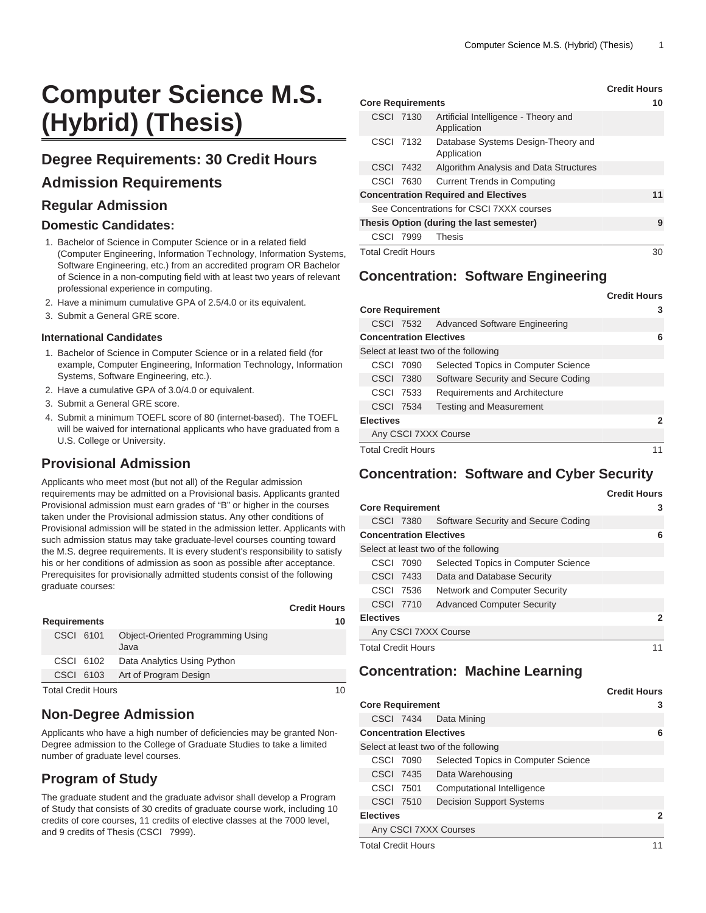# **Computer Science M.S. (Hybrid) (Thesis)**

# **Degree Requirements: 30 Credit Hours**

## **Admission Requirements**

### **Regular Admission**

#### **Domestic Candidates:**

- 1. Bachelor of Science in Computer Science or in a related field (Computer Engineering, Information Technology, Information Systems, Software Engineering, etc.) from an accredited program OR Bachelor of Science in a non-computing field with at least two years of relevant professional experience in computing.
- 2. Have a minimum cumulative GPA of 2.5/4.0 or its equivalent.
- 3. Submit a General GRE score.

#### **International Candidates**

- 1. Bachelor of Science in Computer Science or in a related field (for example, Computer Engineering, Information Technology, Information Systems, Software Engineering, etc.).
- 2. Have a cumulative GPA of 3.0/4.0 or equivalent.
- 3. Submit a General GRE score.
- 4. Submit a minimum TOEFL score of 80 (internet-based). The TOEFL will be waived for international applicants who have graduated from a U.S. College or University.

# **Provisional Admission**

Applicants who meet most (but not all) of the Regular admission requirements may be admitted on a Provisional basis. Applicants granted Provisional admission must earn grades of "B" or higher in the courses taken under the Provisional admission status. Any other conditions of Provisional admission will be stated in the admission letter. Applicants with such admission status may take graduate-level courses counting toward the M.S. degree requirements. It is every student's responsibility to satisfy his or her conditions of admission as soon as possible after acceptance. Prerequisites for provisionally admitted students consist of the following graduate courses:

|                           |  |                                                  | <b>Credit Hours</b> |
|---------------------------|--|--------------------------------------------------|---------------------|
| <b>Requirements</b>       |  |                                                  | 10                  |
| CSCI 6101                 |  | <b>Object-Oriented Programming Using</b><br>Java |                     |
| CSCI 6102                 |  | Data Analytics Using Python                      |                     |
| CSCI 6103                 |  | Art of Program Design                            |                     |
| <b>Total Credit Hours</b> |  |                                                  | 10                  |

# **Non-Degree Admission**

Applicants who have a high number of deficiencies may be granted Non-Degree admission to the College of Graduate Studies to take a limited number of graduate level courses.

# **Program of Study**

The graduate student and the graduate advisor shall develop a Program of Study that consists of 30 credits of graduate course work, including 10 credits of core courses, 11 credits of elective classes at the 7000 level, and 9 credits of Thesis [\(CSCI 7999\)](/search/?P=CSCI%207999).

|                                             |                                                     | Grean Hours |
|---------------------------------------------|-----------------------------------------------------|-------------|
| <b>Core Requirements</b>                    | 10                                                  |             |
| CSCI 7130                                   | Artificial Intelligence - Theory and<br>Application |             |
| CSCI 7132                                   | Database Systems Design-Theory and<br>Application   |             |
| CSCI 7432                                   | Algorithm Analysis and Data Structures              |             |
| CSCI 7630                                   | <b>Current Trends in Computing</b>                  |             |
| <b>Concentration Required and Electives</b> | 11                                                  |             |
| See Concentrations for CSCI 7XXX courses    |                                                     |             |
|                                             | Thesis Option (during the last semester)            | 9           |
| CSCI 7999                                   | <b>Thesis</b>                                       |             |
| <b>Total Credit Hours</b>                   | 30                                                  |             |

# **Concentration: Software Engineering**

|                           |           |                                         | <b>Credit Hours</b> |
|---------------------------|-----------|-----------------------------------------|---------------------|
| <b>Core Requirement</b>   |           |                                         | 3                   |
|                           |           | CSCI 7532 Advanced Software Engineering |                     |
|                           |           | <b>Concentration Electives</b>          | 6                   |
|                           |           | Select at least two of the following    |                     |
|                           | CSCI 7090 | Selected Topics in Computer Science     |                     |
|                           | CSCI 7380 | Software Security and Secure Coding     |                     |
|                           | CSCI 7533 | Requirements and Architecture           |                     |
|                           | CSCI 7534 | <b>Testing and Measurement</b>          |                     |
| <b>Electives</b>          |           |                                         | 2                   |
|                           |           | Any CSCI 7XXX Course                    |                     |
| <b>Total Credit Hours</b> |           |                                         |                     |

# **Concentration: Software and Cyber Security**

|                                |           |                                      | <b>Credit Hours</b> |
|--------------------------------|-----------|--------------------------------------|---------------------|
| <b>Core Requirement</b>        | 3         |                                      |                     |
|                                | CSCI 7380 | Software Security and Secure Coding  |                     |
| <b>Concentration Electives</b> |           |                                      | 6                   |
|                                |           | Select at least two of the following |                     |
| CSCI 7090                      |           | Selected Topics in Computer Science  |                     |
| CSCI 7433                      |           | Data and Database Security           |                     |
| CSCI 7536                      |           | <b>Network and Computer Security</b> |                     |
| CSCI 7710                      |           | <b>Advanced Computer Security</b>    |                     |
| <b>Electives</b>               |           |                                      | 2                   |
|                                |           | Any CSCI 7XXX Course                 |                     |
| <b>Total Credit Hours</b>      |           |                                      |                     |

## **Concentration: Machine Learning**

|                                |                                      | <b>Credit Hours</b> |
|--------------------------------|--------------------------------------|---------------------|
| <b>Core Requirement</b>        | 3                                    |                     |
|                                | CSCI 7434 Data Mining                |                     |
| <b>Concentration Electives</b> |                                      | 6                   |
|                                | Select at least two of the following |                     |
| CSCI 7090                      | Selected Topics in Computer Science  |                     |
| <b>CSCI 7435</b>               | Data Warehousing                     |                     |
| CSCI 7501                      | Computational Intelligence           |                     |
| CSCI 7510                      | <b>Decision Support Systems</b>      |                     |
| <b>Electives</b>               | 2                                    |                     |
|                                | Any CSCI 7XXX Courses                |                     |
| <b>Total Credit Hours</b>      |                                      |                     |

**Credit Hours**